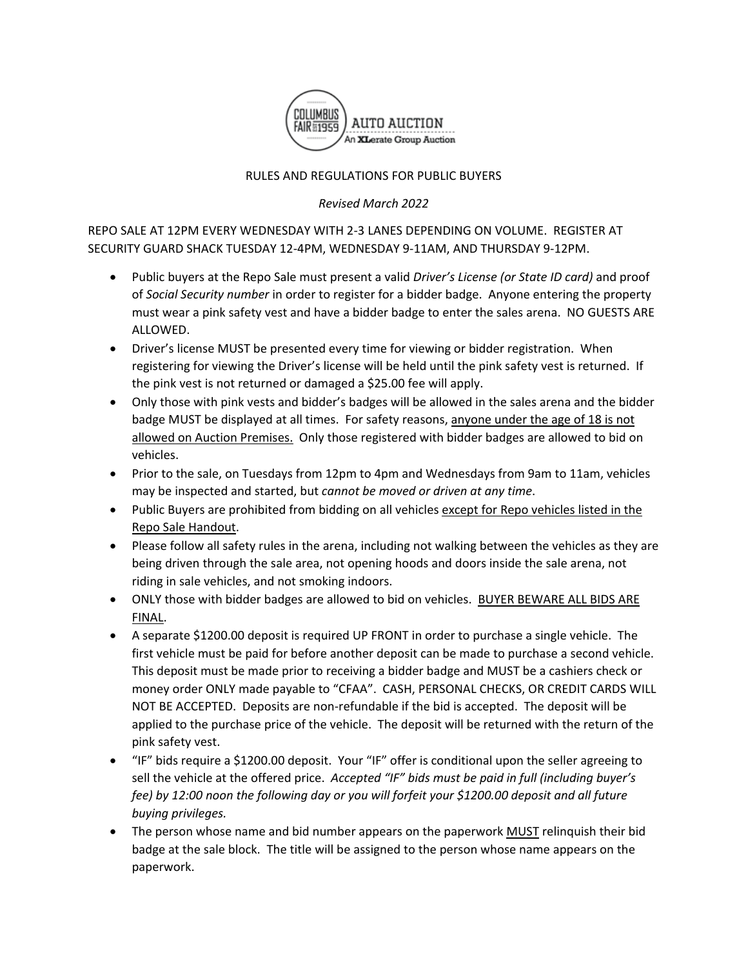

## RULES AND REGULATIONS FOR PUBLIC BUYERS

*Revised March 2022*

REPO SALE AT 12PM EVERY WEDNESDAY WITH 2-3 LANES DEPENDING ON VOLUME. REGISTER AT SECURITY GUARD SHACK TUESDAY 12-4PM, WEDNESDAY 9-11AM, AND THURSDAY 9-12PM.

- Public buyers at the Repo Sale must present a valid *Driver's License (or State ID card)* and proof of *Social Security number* in order to register for a bidder badge. Anyone entering the property must wear a pink safety vest and have a bidder badge to enter the sales arena. NO GUESTS ARE ALLOWED.
- Driver's license MUST be presented every time for viewing or bidder registration. When registering for viewing the Driver's license will be held until the pink safety vest is returned. If the pink vest is not returned or damaged a \$25.00 fee will apply.
- Only those with pink vests and bidder's badges will be allowed in the sales arena and the bidder badge MUST be displayed at all times. For safety reasons, anyone under the age of 18 is not allowed on Auction Premises. Only those registered with bidder badges are allowed to bid on vehicles.
- Prior to the sale, on Tuesdays from 12pm to 4pm and Wednesdays from 9am to 11am, vehicles may be inspected and started, but *cannot be moved or driven at any time*.
- Public Buyers are prohibited from bidding on all vehicles except for Repo vehicles listed in the Repo Sale Handout.
- Please follow all safety rules in the arena, including not walking between the vehicles as they are being driven through the sale area, not opening hoods and doors inside the sale arena, not riding in sale vehicles, and not smoking indoors.
- ONLY those with bidder badges are allowed to bid on vehicles. BUYER BEWARE ALL BIDS ARE FINAL.
- A separate \$1200.00 deposit is required UP FRONT in order to purchase a single vehicle. The first vehicle must be paid for before another deposit can be made to purchase a second vehicle. This deposit must be made prior to receiving a bidder badge and MUST be a cashiers check or money order ONLY made payable to "CFAA". CASH, PERSONAL CHECKS, OR CREDIT CARDS WILL NOT BE ACCEPTED. Deposits are non-refundable if the bid is accepted. The deposit will be applied to the purchase price of the vehicle. The deposit will be returned with the return of the pink safety vest.
- "IF" bids require a \$1200.00 deposit. Your "IF" offer is conditional upon the seller agreeing to sell the vehicle at the offered price. *Accepted "IF" bids must be paid in full (including buyer's fee) by 12:00 noon the following day or you will forfeit your \$1200.00 deposit and all future buying privileges.*
- The person whose name and bid number appears on the paperwork MUST relinquish their bid badge at the sale block. The title will be assigned to the person whose name appears on the paperwork.